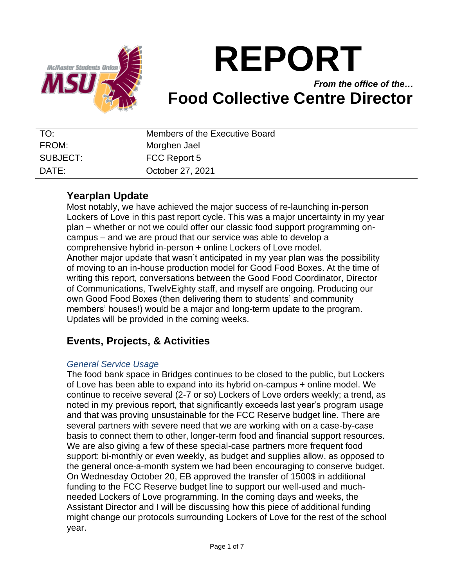

# **REPORT**

## *From the office of the…* **Food Collective Centre Director**

| TO:      | Members of the Executive Board |
|----------|--------------------------------|
| FROM:    | Morghen Jael                   |
| SUBJECT: | FCC Report 5                   |
| DATF:    | October 27, 2021               |

#### **Yearplan Update**

Most notably, we have achieved the major success of re-launching in-person Lockers of Love in this past report cycle. This was a major uncertainty in my year plan – whether or not we could offer our classic food support programming oncampus – and we are proud that our service was able to develop a comprehensive hybrid in-person + online Lockers of Love model. Another major update that wasn't anticipated in my year plan was the possibility of moving to an in-house production model for Good Food Boxes. At the time of writing this report, conversations between the Good Food Coordinator, Director of Communications, TwelvEighty staff, and myself are ongoing. Producing our own Good Food Boxes (then delivering them to students' and community members' houses!) would be a major and long-term update to the program. Updates will be provided in the coming weeks.

## **Events, Projects, & Activities**

#### *General Service Usage*

The food bank space in Bridges continues to be closed to the public, but Lockers of Love has been able to expand into its hybrid on-campus + online model. We continue to receive several (2-7 or so) Lockers of Love orders weekly; a trend, as noted in my previous report, that significantly exceeds last year's program usage and that was proving unsustainable for the FCC Reserve budget line. There are several partners with severe need that we are working with on a case-by-case basis to connect them to other, longer-term food and financial support resources. We are also giving a few of these special-case partners more frequent food support: bi-monthly or even weekly, as budget and supplies allow, as opposed to the general once-a-month system we had been encouraging to conserve budget. On Wednesday October 20, EB approved the transfer of 1500\$ in additional funding to the FCC Reserve budget line to support our well-used and muchneeded Lockers of Love programming. In the coming days and weeks, the Assistant Director and I will be discussing how this piece of additional funding might change our protocols surrounding Lockers of Love for the rest of the school year.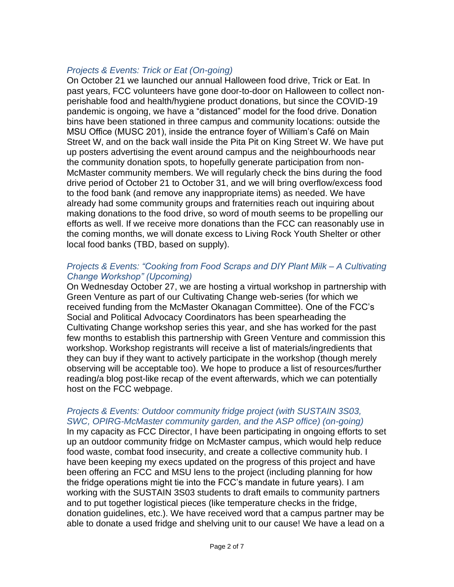#### *Projects & Events: Trick or Eat (On-going)*

On October 21 we launched our annual Halloween food drive, Trick or Eat. In past years, FCC volunteers have gone door-to-door on Halloween to collect nonperishable food and health/hygiene product donations, but since the COVID-19 pandemic is ongoing, we have a "distanced" model for the food drive. Donation bins have been stationed in three campus and community locations: outside the MSU Office (MUSC 201), inside the entrance foyer of William's Café on Main Street W, and on the back wall inside the Pita Pit on King Street W. We have put up posters advertising the event around campus and the neighbourhoods near the community donation spots, to hopefully generate participation from non-McMaster community members. We will regularly check the bins during the food drive period of October 21 to October 31, and we will bring overflow/excess food to the food bank (and remove any inappropriate items) as needed. We have already had some community groups and fraternities reach out inquiring about making donations to the food drive, so word of mouth seems to be propelling our efforts as well. If we receive more donations than the FCC can reasonably use in the coming months, we will donate excess to Living Rock Youth Shelter or other local food banks (TBD, based on supply).

#### *Projects & Events: "Cooking from Food Scraps and DIY Plant Milk – A Cultivating Change Workshop" (Upcoming)*

On Wednesday October 27, we are hosting a virtual workshop in partnership with Green Venture as part of our Cultivating Change web-series (for which we received funding from the McMaster Okanagan Committee). One of the FCC's Social and Political Advocacy Coordinators has been spearheading the Cultivating Change workshop series this year, and she has worked for the past few months to establish this partnership with Green Venture and commission this workshop. Workshop registrants will receive a list of materials/ingredients that they can buy if they want to actively participate in the workshop (though merely observing will be acceptable too). We hope to produce a list of resources/further reading/a blog post-like recap of the event afterwards, which we can potentially host on the FCC webpage.

#### *Projects & Events: Outdoor community fridge project (with SUSTAIN 3S03, SWC, OPIRG-McMaster community garden, and the ASP office) (on-going)*

In my capacity as FCC Director, I have been participating in ongoing efforts to set up an outdoor community fridge on McMaster campus, which would help reduce food waste, combat food insecurity, and create a collective community hub. I have been keeping my execs updated on the progress of this project and have been offering an FCC and MSU lens to the project (including planning for how the fridge operations might tie into the FCC's mandate in future years). I am working with the SUSTAIN 3S03 students to draft emails to community partners and to put together logistical pieces (like temperature checks in the fridge, donation guidelines, etc.). We have received word that a campus partner may be able to donate a used fridge and shelving unit to our cause! We have a lead on a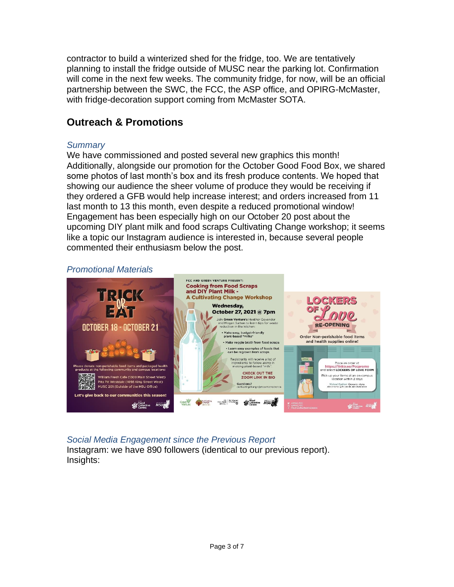contractor to build a winterized shed for the fridge, too. We are tentatively planning to install the fridge outside of MUSC near the parking lot. Confirmation will come in the next few weeks. The community fridge, for now, will be an official partnership between the SWC, the FCC, the ASP office, and OPIRG-McMaster, with fridge-decoration support coming from McMaster SOTA.

## **Outreach & Promotions**

#### *Summary*

We have commissioned and posted several new graphics this month! Additionally, alongside our promotion for the October Good Food Box, we shared some photos of last month's box and its fresh produce contents. We hoped that showing our audience the sheer volume of produce they would be receiving if they ordered a GFB would help increase interest; and orders increased from 11 last month to 13 this month, even despite a reduced promotional window! Engagement has been especially high on our October 20 post about the upcoming DIY plant milk and food scraps Cultivating Change workshop; it seems like a topic our Instagram audience is interested in, because several people commented their enthusiasm below the post.

#### *Promotional Materials*



#### *Social Media Engagement since the Previous Report* Instagram: we have 890 followers (identical to our previous report). Insights: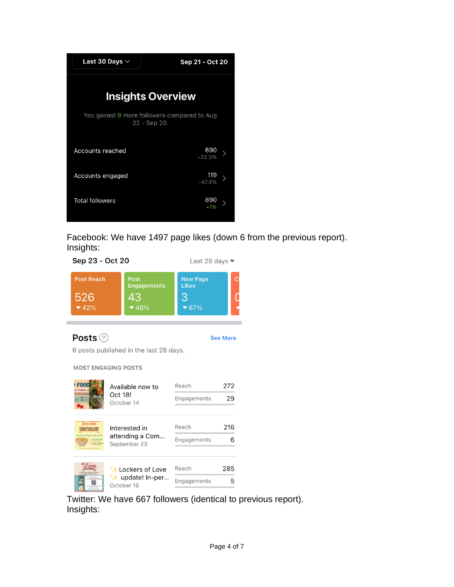

Facebook: We have 1497 page likes (down 6 from the previous report). Insights:



Twitter: We have 667 followers (identical to previous report). Insights: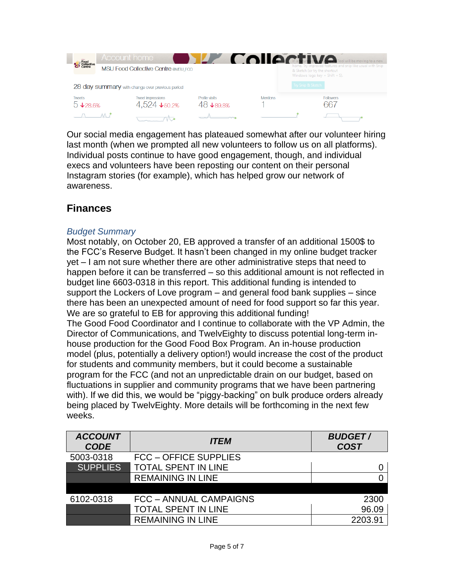

Our social media engagement has plateaued somewhat after our volunteer hiring last month (when we prompted all new volunteers to follow us on all platforms). Individual posts continue to have good engagement, though, and individual execs and volunteers have been reposting our content on their personal Instagram stories (for example), which has helped grow our network of awareness.

### **Finances**

#### *Budget Summary*

Most notably, on October 20, EB approved a transfer of an additional 1500\$ to the FCC's Reserve Budget. It hasn't been changed in my online budget tracker yet – I am not sure whether there are other administrative steps that need to happen before it can be transferred – so this additional amount is not reflected in budget line 6603-0318 in this report. This additional funding is intended to support the Lockers of Love program – and general food bank supplies – since there has been an unexpected amount of need for food support so far this year. We are so grateful to EB for approving this additional funding! The Good Food Coordinator and I continue to collaborate with the VP Admin, the Director of Communications, and TwelvEighty to discuss potential long-term inhouse production for the Good Food Box Program. An in-house production model (plus, potentially a delivery option!) would increase the cost of the product for students and community members, but it could become a sustainable program for the FCC (and not an unpredictable drain on our budget, based on fluctuations in supplier and community programs that we have been partnering with). If we did this, we would be "piggy-backing" on bulk produce orders already being placed by TwelvEighty. More details will be forthcoming in the next few weeks.

| <b>ACCOUNT</b><br><b>CODE</b> | <b>ITEM</b>                   | <b>BUDGET/</b><br><b>COST</b> |
|-------------------------------|-------------------------------|-------------------------------|
| 5003-0318                     | <b>FCC - OFFICE SUPPLIES</b>  |                               |
| <b>SUPPLIES</b>               | <b>TOTAL SPENT IN LINE</b>    |                               |
|                               | <b>REMAINING IN LINE</b>      |                               |
|                               |                               |                               |
| 6102-0318                     | <b>FCC - ANNUAL CAMPAIGNS</b> | 2300                          |
|                               | <b>TOTAL SPENT IN LINE</b>    | 96.09                         |
|                               | <b>REMAINING IN LINE</b>      | 2203.91                       |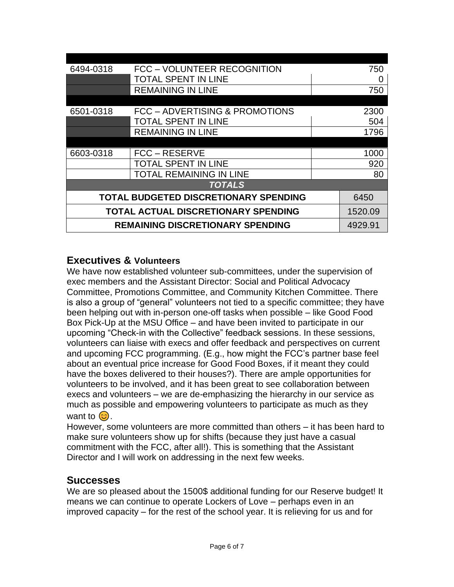| 6494-0318                                  | FCC - VOLUNTEER RECOGNITION    | 750          |         |  |
|--------------------------------------------|--------------------------------|--------------|---------|--|
|                                            | <b>TOTAL SPENT IN LINE</b>     | $\mathbf{O}$ |         |  |
|                                            | <b>REMAINING IN LINE</b>       | 750          |         |  |
|                                            |                                |              |         |  |
| 6501-0318                                  | FCC - ADVERTISING & PROMOTIONS | 2300         |         |  |
|                                            | <b>TOTAL SPENT IN LINE</b>     | 504          |         |  |
|                                            | <b>REMAINING IN LINE</b>       | 1796         |         |  |
|                                            |                                |              |         |  |
| 6603-0318                                  | FCC – RESERVE                  | 1000         |         |  |
|                                            | TOTAL SPENT IN LINE            | 920          |         |  |
|                                            | TOTAL REMAINING IN LINE        | 80           |         |  |
| <b>TOTALS</b>                              |                                |              |         |  |
| TOTAL BUDGETED DISCRETIONARY SPENDING      |                                |              | 6450    |  |
| <b>TOTAL ACTUAL DISCRETIONARY SPENDING</b> |                                |              | 1520.09 |  |
| <b>REMAINING DISCRETIONARY SPENDING</b>    |                                |              | 4929.91 |  |

#### **Executives & Volunteers**

We have now established volunteer sub-committees, under the supervision of exec members and the Assistant Director: Social and Political Advocacy Committee, Promotions Committee, and Community Kitchen Committee. There is also a group of "general" volunteers not tied to a specific committee; they have been helping out with in-person one-off tasks when possible – like Good Food Box Pick-Up at the MSU Office – and have been invited to participate in our upcoming "Check-in with the Collective" feedback sessions. In these sessions, volunteers can liaise with execs and offer feedback and perspectives on current and upcoming FCC programming. (E.g., how might the FCC's partner base feel about an eventual price increase for Good Food Boxes, if it meant they could have the boxes delivered to their houses?). There are ample opportunities for volunteers to be involved, and it has been great to see collaboration between execs and volunteers – we are de-emphasizing the hierarchy in our service as much as possible and empowering volunteers to participate as much as they want to  $\odot$ .

However, some volunteers are more committed than others – it has been hard to make sure volunteers show up for shifts (because they just have a casual commitment with the FCC, after all!). This is something that the Assistant Director and I will work on addressing in the next few weeks.

#### **Successes**

We are so pleased about the 1500\$ additional funding for our Reserve budget! It means we can continue to operate Lockers of Love – perhaps even in an improved capacity – for the rest of the school year. It is relieving for us and for